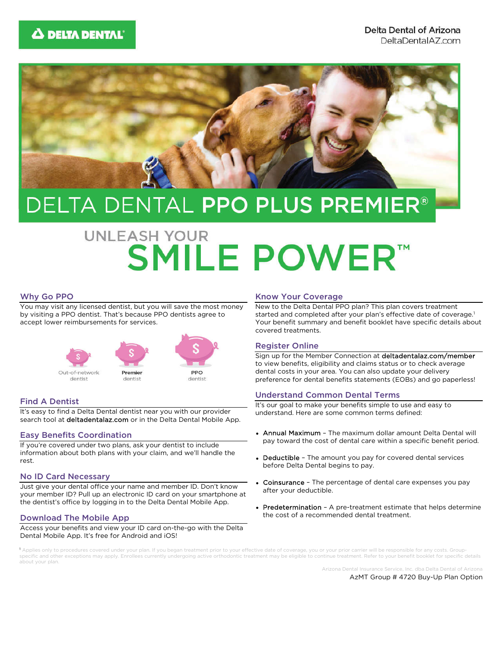

# DELTA DENTAL PPO PLUS PREMIER®

# **UNLEASH YOUR SMILE POWER™**

#### Why Go PPO

You may visit any licensed dentist, but you will save the most money by visiting a PPO dentist. That's because PPO dentists agree to accept lower reimbursements for services.



#### Find A Dentist

It's easy to find a Delta Dental dentist near you with our provider search tool at deltadentalaz.com or in the Delta Dental Mobile App.

#### Easy Benefits Coordination

If you're covered under two plans, ask your dentist to include information about both plans with your claim, and we'll handle the rest.

#### No ID Card Necessary

Just give your dental office your name and member ID. Don't know your member ID? Pull up an electronic ID card on your smartphone at the dentist's office by logging in to the Delta Dental Mobile App.

#### Download The Mobile App

Access your benefits and view your ID card on-the-go with the Delta Dental Mobile App. It's free for Android and iOS!

#### Know Your Coverage

New to the Delta Dental PPO plan? This plan covers treatment started and completed after your plan's effective date of coverage.<sup>1</sup> Your benefit summary and benefit booklet have specific details about covered treatments.

#### Register Online

Sign up for the Member Connection at deltadentalaz.com/member to view benefits, eligibility and claims status or to check average dental costs in your area. You can also update your delivery preference for dental benefits statements (EOBs) and go paperless!

#### Understand Common Dental Terms

It's our goal to make your benefits simple to use and easy to understand. Here are some common terms defined:

- Annual Maximum The maximum dollar amount Delta Dental will pay toward the cost of dental care within a specific benefit period.
- Deductible The amount you pay for covered dental services before Delta Dental begins to pay.
- Coinsurance The percentage of dental care expenses you pay after your deductible.
- Predetermination A pre-treatment estimate that helps determine the cost of a recommended dental treatment.

1 Applies only to procedures covered under your plan. If you began treatment prior to your effective date of coverage, you or your prior carrier will be responsible for any costs. Groupspecific and other exceptions may apply. Enrollees currently undergoing active orthodontic treatment may be eligible to continue treatment. Refer to your benefit booklet for specific details about your plan.

> Arizona Dental Insurance Service, Inc. dba Delta Dental of Arizona AzMT Group # 4720 Buy-Up Plan Option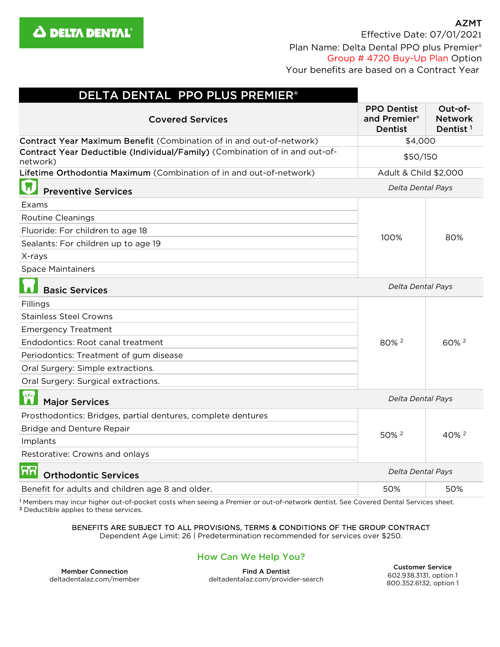

| DELTA DENTAL PPO PLUS PREMIER®                                                          |                                                      |                                                   |
|-----------------------------------------------------------------------------------------|------------------------------------------------------|---------------------------------------------------|
| <b>Covered Services</b>                                                                 | <b>PPO Dentist</b><br>and Premier®<br><b>Dentist</b> | Out-of-<br><b>Network</b><br>Dentist <sup>1</sup> |
| Contract Year Maximum Benefit (Combination of in and out-of-network)                    | \$4,000                                              |                                                   |
| Contract Year Deductible (Individual/Family) (Combination of in and out-of-<br>network) | \$50/150                                             |                                                   |
| Lifetime Orthodontia Maximum (Combination of in and out-of-network)                     | Adult & Child \$2,000                                |                                                   |
| <b>Preventive Services</b>                                                              | Delta Dental Pays                                    |                                                   |
| Exams                                                                                   | 100%                                                 | 80%                                               |
| <b>Routine Cleanings</b>                                                                |                                                      |                                                   |
| Fluoride: For children to age 18                                                        |                                                      |                                                   |
| Sealants: For children up to age 19                                                     |                                                      |                                                   |
| X-rays                                                                                  |                                                      |                                                   |
| <b>Space Maintainers</b>                                                                |                                                      |                                                   |
| <b>Basic Services</b>                                                                   | <b>Delta Dental Pays</b>                             |                                                   |
| Fillings                                                                                | 80% 2                                                | 60% 2                                             |
| <b>Stainless Steel Crowns</b>                                                           |                                                      |                                                   |
| <b>Emergency Treatment</b>                                                              |                                                      |                                                   |
| Endodontics: Root canal treatment                                                       |                                                      |                                                   |
| Periodontics: Treatment of gum disease                                                  |                                                      |                                                   |
| Oral Surgery: Simple extractions.                                                       |                                                      |                                                   |
| Oral Surgery: Surgical extractions.                                                     |                                                      |                                                   |
| RM<br><b>Major Services</b>                                                             | Delta Dental Pays                                    |                                                   |
| Prosthodontics: Bridges, partial dentures, complete dentures                            | 50% 2                                                | 40% <sup>2</sup>                                  |
| <b>Bridge and Denture Repair</b>                                                        |                                                      |                                                   |
| Implants                                                                                |                                                      |                                                   |
| Restorative: Crowns and onlays                                                          |                                                      |                                                   |
| ନନ<br><b>Orthodontic Services</b>                                                       | Delta Dental Pays                                    |                                                   |
| Benefit for adults and children age 8 and older.                                        | 50%                                                  | 50%                                               |
|                                                                                         |                                                      |                                                   |

<sup>1</sup> Members may incur higher out-of-pocket costs when seeing a Premier or out-of-network dentist. See Covered Dental Services sheet.<br><sup>2</sup> Deductible applies to these services.

## BENEFITS ARE SUBJECT TO ALL PROVISIONS, TERMS & CONDITIONS OF THE GROUP CONTRACT

Dependent Age Limit: 26 | Predetermination recommended for services over \$250.

# How Can We Help You?

Member Connection deltadentalaz.com/member

Find A Dentist deltadentalaz.com/provider-search

Customer Service 602.938.3131, option 1 800.352.6132, option 1